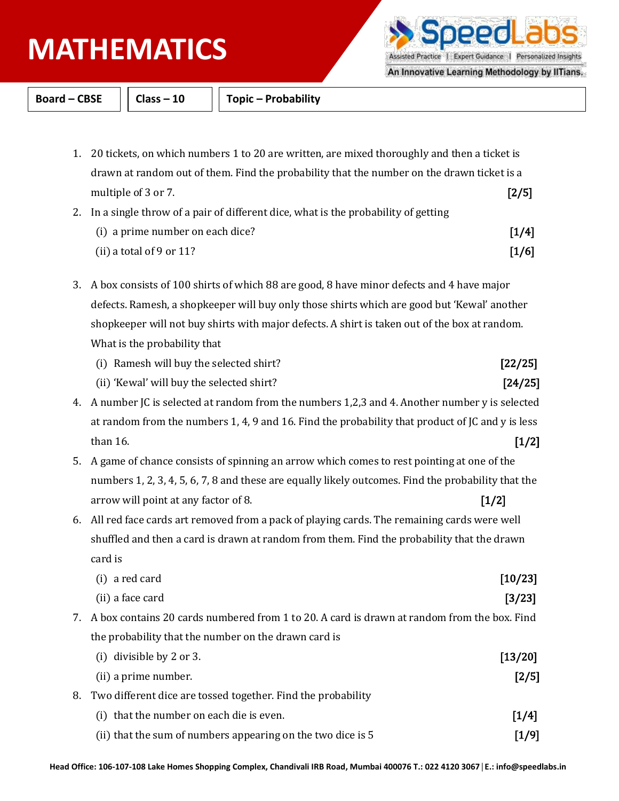## **PHYSICS MATHEMATICS**

Assisted Practice | Expert Guidance | Personalized Insights

וסכ

An Innovative Learning Methodology by IITians.

**Board – CBSE Class – 10 Topic – Probability**

- 1. 20 tickets, on which numbers 1 to 20 are written, are mixed thoroughly and then a ticket is drawn at random out of them. Find the probability that the number on the drawn ticket is a multiple of 3 or 7. [2/5]
- 2. In a single throw of a pair of different dice, what is the probability of getting (i) a prime number on each dice?  $[1/4]$ (ii) a total of 9 or 11?  $[1/6]$
- 3. A box consists of 100 shirts of which 88 are good, 8 have minor defects and 4 have major defects. Ramesh, a shopkeeper will buy only those shirts which are good but 'Kewal' another shopkeeper will not buy shirts with major defects. A shirt is taken out of the box at random. What is the probability that
	- (i) Ramesh will buy the selected shirt? [22/25]
	- (ii) 'Kewal' will buy the selected shirt? [24/25]
- 4. A number JC is selected at random from the numbers 1,2,3 and 4. Another number y is selected at random from the numbers 1, 4, 9 and 16. Find the probability that product of JC and y is less than 16.  $[1/2]$
- 5. A game of chance consists of spinning an arrow which comes to rest pointing at one of the numbers 1, 2, 3, 4, 5, 6, 7, 8 and these are equally likely outcomes. Find the probability that the arrow will point at any factor of 8. [1/2]
- 6. All red face cards art removed from a pack of playing cards. The remaining cards were well shuffled and then a card is drawn at random from them. Find the probability that the drawn card is

| (i) a red card                                                                                 | [10/23]  |
|------------------------------------------------------------------------------------------------|----------|
| (ii) a face card                                                                               | $[3/23]$ |
| 7. A box contains 20 cards numbered from 1 to 20. A card is drawn at random from the box. Find |          |
| the probability that the number on the drawn card is                                           |          |
| (i) divisible by 2 or 3.                                                                       | [13/20]  |
| (ii) a prime number.                                                                           | $[2/5]$  |
| 8. Two different dice are tossed together. Find the probability                                |          |
| (i) that the number on each die is even.                                                       | $[1/4]$  |
| (ii) that the sum of numbers appearing on the two dice is 5                                    | [1/9]    |